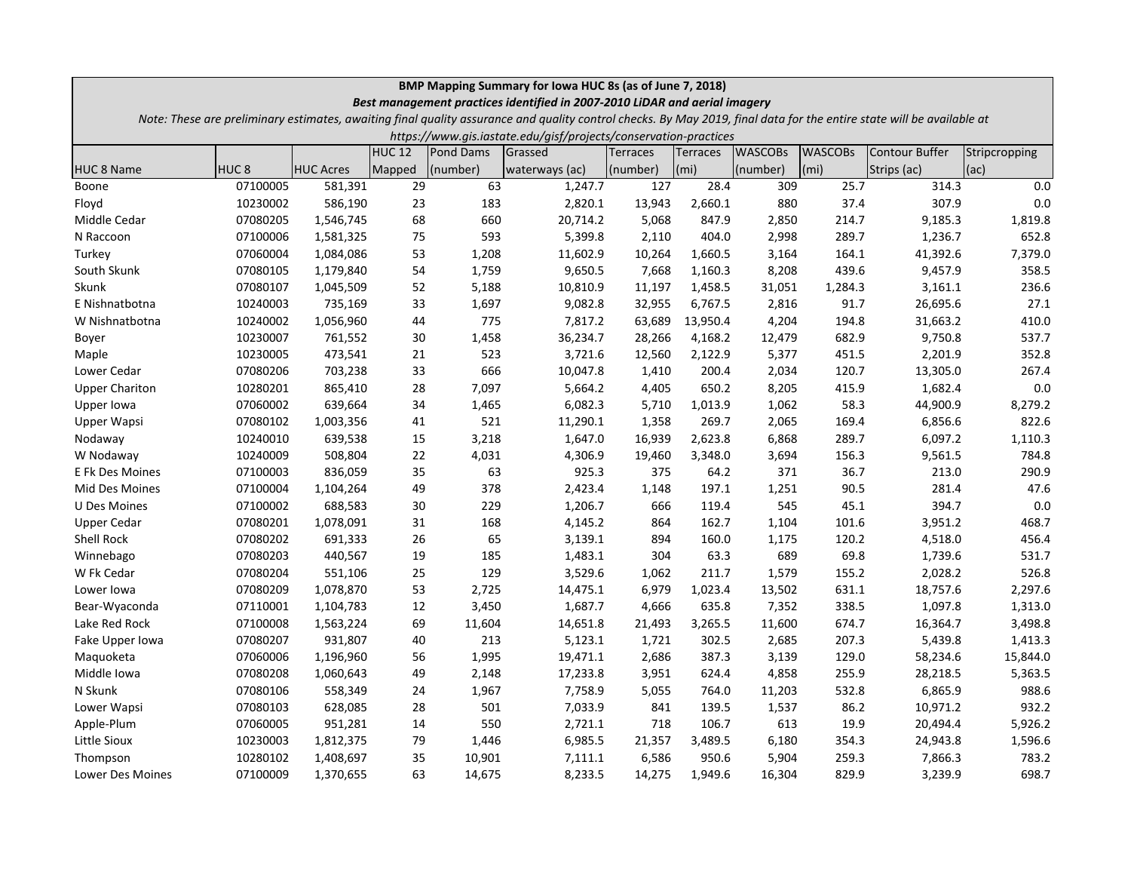| BMP Mapping Summary for Iowa HUC 8s (as of June 7, 2018)<br>Best management practices identified in 2007-2010 LiDAR and aerial imagery |                  |                  |                   |           |                                                                                                                                                                       |                 |                   |                |                   |                |               |
|----------------------------------------------------------------------------------------------------------------------------------------|------------------|------------------|-------------------|-----------|-----------------------------------------------------------------------------------------------------------------------------------------------------------------------|-----------------|-------------------|----------------|-------------------|----------------|---------------|
|                                                                                                                                        |                  |                  |                   |           | Note: These are preliminary estimates, awaiting final quality assurance and quality control checks. By May 2019, final data for the entire state will be available at |                 |                   |                |                   |                |               |
| https://www.gis.iastate.edu/gisf/projects/conservation-practices                                                                       |                  |                  |                   |           |                                                                                                                                                                       |                 |                   |                |                   |                |               |
|                                                                                                                                        |                  |                  | HUC <sub>12</sub> | Pond Dams | Grassed                                                                                                                                                               | <b>Terraces</b> | Terraces          | <b>WASCOBS</b> | <b>WASCOBs</b>    | Contour Buffer | Stripcropping |
| <b>HUC 8 Name</b>                                                                                                                      | HUC <sub>8</sub> | <b>HUC Acres</b> | Mapped            | (number)  | waterways (ac)                                                                                                                                                        | (number)        | (m <sub>i</sub> ) | (number)       | (m <sub>i</sub> ) | Strips (ac)    | $ $ (ac)      |
| Boone                                                                                                                                  | 07100005         | 581,391          | 29                | 63        | 1,247.7                                                                                                                                                               | 127             | 28.4              | 309            | 25.7              | 314.3          | 0.0           |
| Floyd                                                                                                                                  | 10230002         | 586,190          | 23                | 183       | 2,820.1                                                                                                                                                               | 13,943          | 2,660.1           | 880            | 37.4              | 307.9          | 0.0           |
| Middle Cedar                                                                                                                           | 07080205         | 1,546,745        | 68                | 660       | 20,714.2                                                                                                                                                              | 5,068           | 847.9             | 2,850          | 214.7             | 9,185.3        | 1,819.8       |
| N Raccoon                                                                                                                              | 07100006         | 1,581,325        | 75                | 593       | 5,399.8                                                                                                                                                               | 2,110           | 404.0             | 2,998          | 289.7             | 1,236.7        | 652.8         |
| Turkey                                                                                                                                 | 07060004         | 1,084,086        | 53                | 1,208     | 11,602.9                                                                                                                                                              | 10,264          | 1,660.5           | 3,164          | 164.1             | 41,392.6       | 7,379.0       |
| South Skunk                                                                                                                            | 07080105         | 1,179,840        | 54                | 1,759     | 9,650.5                                                                                                                                                               | 7,668           | 1,160.3           | 8,208          | 439.6             | 9,457.9        | 358.5         |
| Skunk                                                                                                                                  | 07080107         | 1,045,509        | 52                | 5,188     | 10,810.9                                                                                                                                                              | 11,197          | 1,458.5           | 31,051         | 1,284.3           | 3,161.1        | 236.6         |
| E Nishnatbotna                                                                                                                         | 10240003         | 735,169          | 33                | 1,697     | 9,082.8                                                                                                                                                               | 32,955          | 6,767.5           | 2,816          | 91.7              | 26,695.6       | 27.1          |
| W Nishnatbotna                                                                                                                         | 10240002         | 1,056,960        | 44                | 775       | 7,817.2                                                                                                                                                               | 63,689          | 13,950.4          | 4,204          | 194.8             | 31,663.2       | 410.0         |
| Boyer                                                                                                                                  | 10230007         | 761,552          | 30                | 1,458     | 36,234.7                                                                                                                                                              | 28,266          | 4,168.2           | 12,479         | 682.9             | 9,750.8        | 537.7         |
| Maple                                                                                                                                  | 10230005         | 473,541          | 21                | 523       | 3,721.6                                                                                                                                                               | 12,560          | 2,122.9           | 5,377          | 451.5             | 2,201.9        | 352.8         |
| Lower Cedar                                                                                                                            | 07080206         | 703,238          | 33                | 666       | 10,047.8                                                                                                                                                              | 1,410           | 200.4             | 2,034          | 120.7             | 13,305.0       | 267.4         |
| <b>Upper Chariton</b>                                                                                                                  | 10280201         | 865,410          | 28                | 7,097     | 5,664.2                                                                                                                                                               | 4,405           | 650.2             | 8,205          | 415.9             | 1,682.4        | 0.0           |
| Upper Iowa                                                                                                                             | 07060002         | 639,664          | 34                | 1,465     | 6,082.3                                                                                                                                                               | 5,710           | 1,013.9           | 1,062          | 58.3              | 44,900.9       | 8,279.2       |
| Upper Wapsi                                                                                                                            | 07080102         | 1,003,356        | 41                | 521       | 11,290.1                                                                                                                                                              | 1,358           | 269.7             | 2,065          | 169.4             | 6,856.6        | 822.6         |
| Nodaway                                                                                                                                | 10240010         | 639,538          | 15                | 3,218     | 1,647.0                                                                                                                                                               | 16,939          | 2,623.8           | 6,868          | 289.7             | 6,097.2        | 1,110.3       |
| W Nodaway                                                                                                                              | 10240009         | 508,804          | 22                | 4,031     | 4,306.9                                                                                                                                                               | 19,460          | 3,348.0           | 3,694          | 156.3             | 9,561.5        | 784.8         |
| E Fk Des Moines                                                                                                                        | 07100003         | 836,059          | 35                | 63        | 925.3                                                                                                                                                                 | 375             | 64.2              | 371            | 36.7              | 213.0          | 290.9         |
| Mid Des Moines                                                                                                                         | 07100004         | 1,104,264        | 49                | 378       | 2,423.4                                                                                                                                                               | 1,148           | 197.1             | 1,251          | 90.5              | 281.4          | 47.6          |
| <b>U Des Moines</b>                                                                                                                    | 07100002         | 688,583          | 30                | 229       | 1,206.7                                                                                                                                                               | 666             | 119.4             | 545            | 45.1              | 394.7          | 0.0           |
| <b>Upper Cedar</b>                                                                                                                     | 07080201         | 1,078,091        | 31                | 168       | 4,145.2                                                                                                                                                               | 864             | 162.7             | 1,104          | 101.6             | 3,951.2        | 468.7         |
| Shell Rock                                                                                                                             | 07080202         | 691,333          | 26                | 65        | 3,139.1                                                                                                                                                               | 894             | 160.0             | 1,175          | 120.2             | 4,518.0        | 456.4         |
| Winnebago                                                                                                                              | 07080203         | 440,567          | 19                | 185       | 1,483.1                                                                                                                                                               | 304             | 63.3              | 689            | 69.8              | 1,739.6        | 531.7         |
| W Fk Cedar                                                                                                                             | 07080204         | 551,106          | 25                | 129       | 3,529.6                                                                                                                                                               | 1,062           | 211.7             | 1,579          | 155.2             | 2,028.2        | 526.8         |
| Lower Iowa                                                                                                                             | 07080209         | 1,078,870        | 53                | 2,725     | 14,475.1                                                                                                                                                              | 6,979           | 1,023.4           | 13,502         | 631.1             | 18,757.6       | 2,297.6       |
| Bear-Wyaconda                                                                                                                          | 07110001         | 1,104,783        | 12                | 3,450     | 1,687.7                                                                                                                                                               | 4,666           | 635.8             | 7,352          | 338.5             | 1,097.8        | 1,313.0       |
| Lake Red Rock                                                                                                                          | 07100008         | 1,563,224        | 69                | 11,604    | 14,651.8                                                                                                                                                              | 21,493          | 3,265.5           | 11,600         | 674.7             | 16,364.7       | 3,498.8       |
| Fake Upper Iowa                                                                                                                        | 07080207         | 931,807          | 40                | 213       | 5,123.1                                                                                                                                                               | 1,721           | 302.5             | 2,685          | 207.3             | 5,439.8        | 1,413.3       |
| Maquoketa                                                                                                                              | 07060006         | 1,196,960        | 56                | 1,995     | 19,471.1                                                                                                                                                              | 2,686           | 387.3             | 3,139          | 129.0             | 58,234.6       | 15,844.0      |
| Middle Iowa                                                                                                                            | 07080208         | 1,060,643        | 49                | 2,148     | 17,233.8                                                                                                                                                              | 3,951           | 624.4             | 4,858          | 255.9             | 28,218.5       | 5,363.5       |
| N Skunk                                                                                                                                | 07080106         | 558,349          | 24                | 1,967     | 7,758.9                                                                                                                                                               | 5,055           | 764.0             | 11,203         | 532.8             | 6,865.9        | 988.6         |
| Lower Wapsi                                                                                                                            | 07080103         | 628,085          | 28                | 501       | 7,033.9                                                                                                                                                               | 841             | 139.5             | 1,537          | 86.2              | 10,971.2       | 932.2         |
| Apple-Plum                                                                                                                             | 07060005         | 951,281          | 14                | 550       | 2,721.1                                                                                                                                                               | 718             | 106.7             | 613            | 19.9              | 20,494.4       | 5,926.2       |
| Little Sioux                                                                                                                           | 10230003         | 1,812,375        | 79                | 1,446     | 6,985.5                                                                                                                                                               | 21,357          | 3,489.5           | 6,180          | 354.3             | 24,943.8       | 1,596.6       |
| Thompson                                                                                                                               | 10280102         | 1,408,697        | 35                | 10,901    | 7,111.1                                                                                                                                                               | 6,586           | 950.6             | 5,904          | 259.3             | 7,866.3        | 783.2         |
| Lower Des Moines                                                                                                                       | 07100009         | 1,370,655        | 63                | 14,675    | 8,233.5                                                                                                                                                               | 14,275          | 1,949.6           | 16,304         | 829.9             | 3,239.9        | 698.7         |